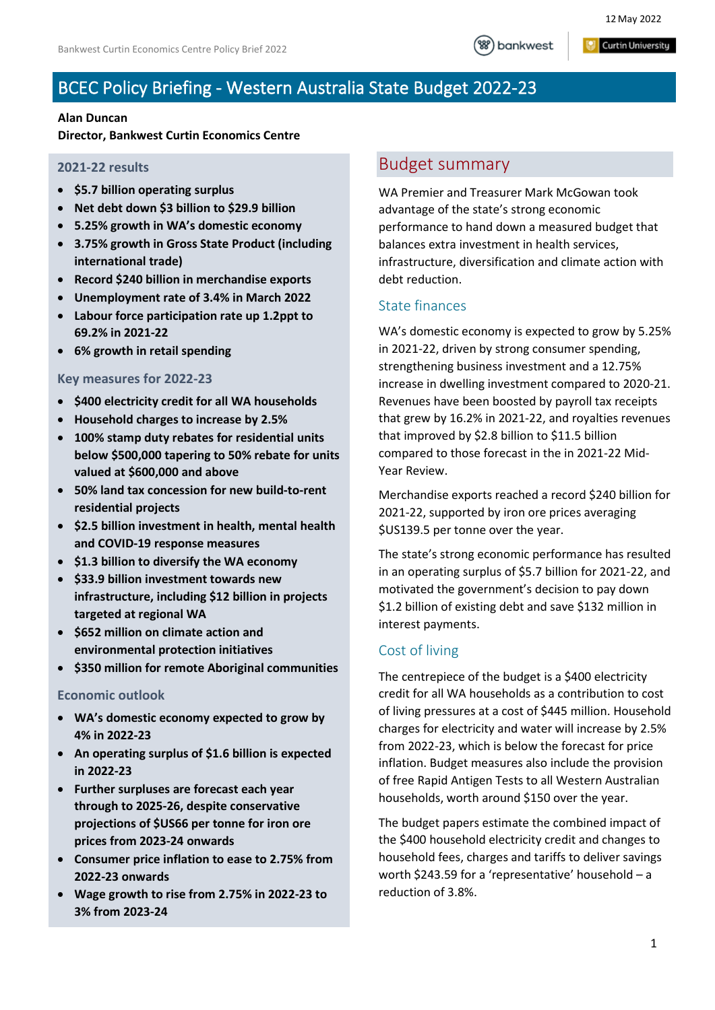#### **Curtin University**

# BCEC Policy Briefing - Western Australia State Budget 2022-23

#### **Alan Duncan**

**Director, Bankwest Curtin Economics Centre**

#### **2021-22 results**

- **\$5.7 billion operating surplus**
- **Net debt down \$3 billion to \$29.9 billion**
- **5.25% growth in WA's domestic economy**
- **3.75% growth in Gross State Product (including international trade)**
- **Record \$240 billion in merchandise exports**
- **Unemployment rate of 3.4% in March 2022**
- **Labour force participation rate up 1.2ppt to 69.2% in 2021-22**
- **6% growth in retail spending**

#### **Key measures for 2022-23**

- **\$400 electricity credit for all WA households**
- **Household charges to increase by 2.5%**
- **100% stamp duty rebates for residential units below \$500,000 tapering to 50% rebate for units valued at \$600,000 and above**
- **50% land tax concession for new build-to-rent residential projects**
- **\$2.5 billion investment in health, mental health and COVID-19 response measures**
- **\$1.3 billion to diversify the WA economy**
- **\$33.9 billion investment towards new infrastructure, including \$12 billion in projects targeted at regional WA**
- **\$652 million on climate action and environmental protection initiatives**
- **\$350 million for remote Aboriginal communities**

#### **Economic outlook**

- **WA's domestic economy expected to grow by 4% in 2022-23**
- **An operating surplus of \$1.6 billion is expected in 2022-23**
- **Further surpluses are forecast each year through to 2025-26, despite conservative projections of \$US66 per tonne for iron ore prices from 2023-24 onwards**
- **Consumer price inflation to ease to 2.75% from 2022-23 onwards**
- **Wage growth to rise from 2.75% in 2022-23 to 3% from 2023-24**

### Budget summary

WA Premier and Treasurer Mark McGowan took advantage of the state's strong economic performance to hand down a measured budget that balances extra investment in health services, infrastructure, diversification and climate action with debt reduction.

#### State finances

WA's domestic economy is expected to grow by 5.25% in 2021-22, driven by strong consumer spending, strengthening business investment and a 12.75% increase in dwelling investment compared to 2020-21. Revenues have been boosted by payroll tax receipts that grew by 16.2% in 2021-22, and royalties revenues that improved by \$2.8 billion to \$11.5 billion compared to those forecast in the in 2021-22 Mid-Year Review.

Merchandise exports reached a record \$240 billion for 2021-22, supported by iron ore prices averaging \$US139.5 per tonne over the year.

The state's strong economic performance has resulted in an operating surplus of \$5.7 billion for 2021-22, and motivated the government's decision to pay down \$1.2 billion of existing debt and save \$132 million in interest payments.

#### Cost of living

The centrepiece of the budget is a \$400 electricity credit for all WA households as a contribution to cost of living pressures at a cost of \$445 million. Household charges for electricity and water will increase by 2.5% from 2022-23, which is below the forecast for price inflation. Budget measures also include the provision of free Rapid Antigen Tests to all Western Australian households, worth around \$150 over the year.

The budget papers estimate the combined impact of the \$400 household electricity credit and changes to household fees, charges and tariffs to deliver savings worth \$243.59 for a 'representative' household – a reduction of 3.8%.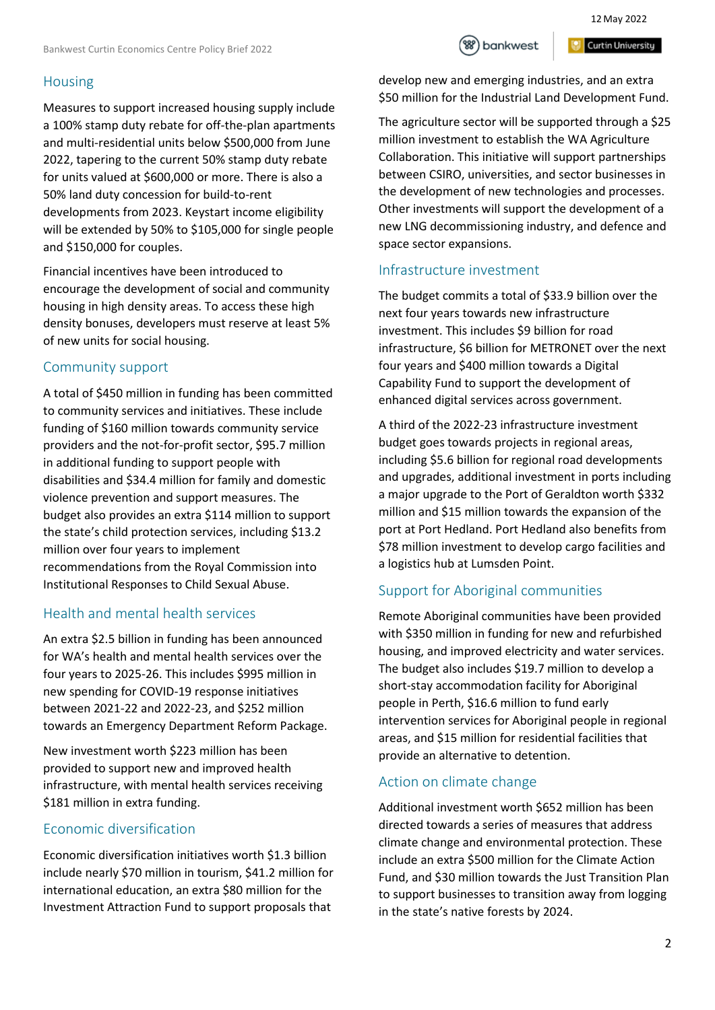### Housing

Measures to support increased housing supply include a 100% stamp duty rebate for off-the-plan apartments and multi-residential units below \$500,000 from June 2022, tapering to the current 50% stamp duty rebate for units valued at \$600,000 or more. There is also a 50% land duty concession for build-to-rent developments from 2023. Keystart income eligibility will be extended by 50% to \$105,000 for single people and \$150,000 for couples.

Financial incentives have been introduced to encourage the development of social and community housing in high density areas. To access these high density bonuses, developers must reserve at least 5% of new units for social housing.

## Community support

A total of \$450 million in funding has been committed to community services and initiatives. These include funding of \$160 million towards community service providers and the not-for-profit sector, \$95.7 million in additional funding to support people with disabilities and \$34.4 million for family and domestic violence prevention and support measures. The budget also provides an extra \$114 million to support the state's child protection services, including \$13.2 million over four years to implement recommendations from the Royal Commission into Institutional Responses to Child Sexual Abuse.

## Health and mental health services

An extra \$2.5 billion in funding has been announced for WA's health and mental health services over the four years to 2025-26. This includes \$995 million in new spending for COVID-19 response initiatives between 2021-22 and 2022-23, and \$252 million towards an Emergency Department Reform Package.

New investment worth \$223 million has been provided to support new and improved health infrastructure, with mental health services receiving \$181 million in extra funding.

## Economic diversification

Economic diversification initiatives worth \$1.3 billion include nearly \$70 million in tourism, \$41.2 million for international education, an extra \$80 million for the Investment Attraction Fund to support proposals that



**Curtin University** 

develop new and emerging industries, and an extra \$50 million for the Industrial Land Development Fund.

The agriculture sector will be supported through a \$25 million investment to establish the WA Agriculture Collaboration. This initiative will support partnerships between CSIRO, universities, and sector businesses in the development of new technologies and processes. Other investments will support the development of a new LNG decommissioning industry, and defence and space sector expansions.

## Infrastructure investment

The budget commits a total of \$33.9 billion over the next four years towards new infrastructure investment. This includes \$9 billion for road infrastructure, \$6 billion for METRONET over the next four years and \$400 million towards a Digital Capability Fund to support the development of enhanced digital services across government.

A third of the 2022-23 infrastructure investment budget goes towards projects in regional areas, including \$5.6 billion for regional road developments and upgrades, additional investment in ports including a major upgrade to the Port of Geraldton worth \$332 million and \$15 million towards the expansion of the port at Port Hedland. Port Hedland also benefits from \$78 million investment to develop cargo facilities and a logistics hub at Lumsden Point.

## Support for Aboriginal communities

Remote Aboriginal communities have been provided with \$350 million in funding for new and refurbished housing, and improved electricity and water services. The budget also includes \$19.7 million to develop a short-stay accommodation facility for Aboriginal people in Perth, \$16.6 million to fund early intervention services for Aboriginal people in regional areas, and \$15 million for residential facilities that provide an alternative to detention.

## Action on climate change

Additional investment worth \$652 million has been directed towards a series of measures that address climate change and environmental protection. These include an extra \$500 million for the Climate Action Fund, and \$30 million towards the Just Transition Plan to support businesses to transition away from logging in the state's native forests by 2024.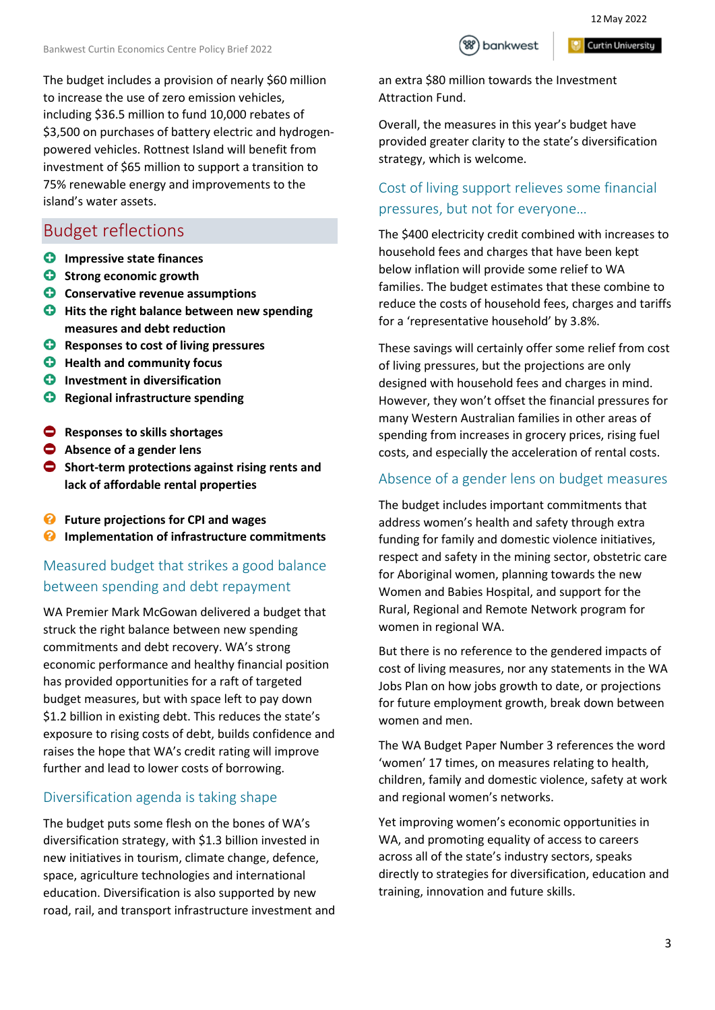The budget includes a provision of nearly \$60 million to increase the use of zero emission vehicles, including \$36.5 million to fund 10,000 rebates of \$3,500 on purchases of battery electric and hydrogenpowered vehicles. Rottnest Island will benefit from investment of \$65 million to support a transition to 75% renewable energy and improvements to the island's water assets.

## Budget reflections

- **C** Impressive state finances
- **C** Strong economic growth
- **C** Conservative revenue assumptions
- $\bullet$  Hits the right balance between new spending **measures and debt reduction**
- **Responses to cost of living pressures**
- **Health and community focus**
- $\bullet$  Investment in diversification
- $R$  Regional infrastructure spending
- **Responses to skills shortages**
- **Absence of a gender lens**
- **Short-term protections against rising rents and lack of affordable rental properties**
- **Future projections for CPI and wages**
- *<b>* Implementation of infrastructure commitments

### Measured budget that strikes a good balance between spending and debt repayment

WA Premier Mark McGowan delivered a budget that struck the right balance between new spending commitments and debt recovery. WA's strong economic performance and healthy financial position has provided opportunities for a raft of targeted budget measures, but with space left to pay down \$1.2 billion in existing debt. This reduces the state's exposure to rising costs of debt, builds confidence and raises the hope that WA's credit rating will improve further and lead to lower costs of borrowing.

#### Diversification agenda is taking shape

The budget puts some flesh on the bones of WA's diversification strategy, with \$1.3 billion invested in new initiatives in tourism, climate change, defence, space, agriculture technologies and international education. Diversification is also supported by new road, rail, and transport infrastructure investment and



**Curtin University** 

an extra \$80 million towards the Investment Attraction Fund.

Overall, the measures in this year's budget have provided greater clarity to the state's diversification strategy, which is welcome.

### Cost of living support relieves some financial pressures, but not for everyone…

The \$400 electricity credit combined with increases to household fees and charges that have been kept below inflation will provide some relief to WA families. The budget estimates that these combine to reduce the costs of household fees, charges and tariffs for a 'representative household' by 3.8%.

These savings will certainly offer some relief from cost of living pressures, but the projections are only designed with household fees and charges in mind. However, they won't offset the financial pressures for many Western Australian families in other areas of spending from increases in grocery prices, rising fuel costs, and especially the acceleration of rental costs.

#### Absence of a gender lens on budget measures

The budget includes important commitments that address women's health and safety through extra funding for family and domestic violence initiatives, respect and safety in the mining sector, obstetric care for Aboriginal women, planning towards the new Women and Babies Hospital, and support for the Rural, Regional and Remote Network program for women in regional WA.

But there is no reference to the gendered impacts of cost of living measures, nor any statements in the WA Jobs Plan on how jobs growth to date, or projections for future employment growth, break down between women and men.

The WA Budget Paper Number 3 references the word 'women' 17 times, on measures relating to health, children, family and domestic violence, safety at work and regional women's networks.

Yet improving women's economic opportunities in WA, and promoting equality of access to careers across all of the state's industry sectors, speaks directly to strategies for diversification, education and training, innovation and future skills.